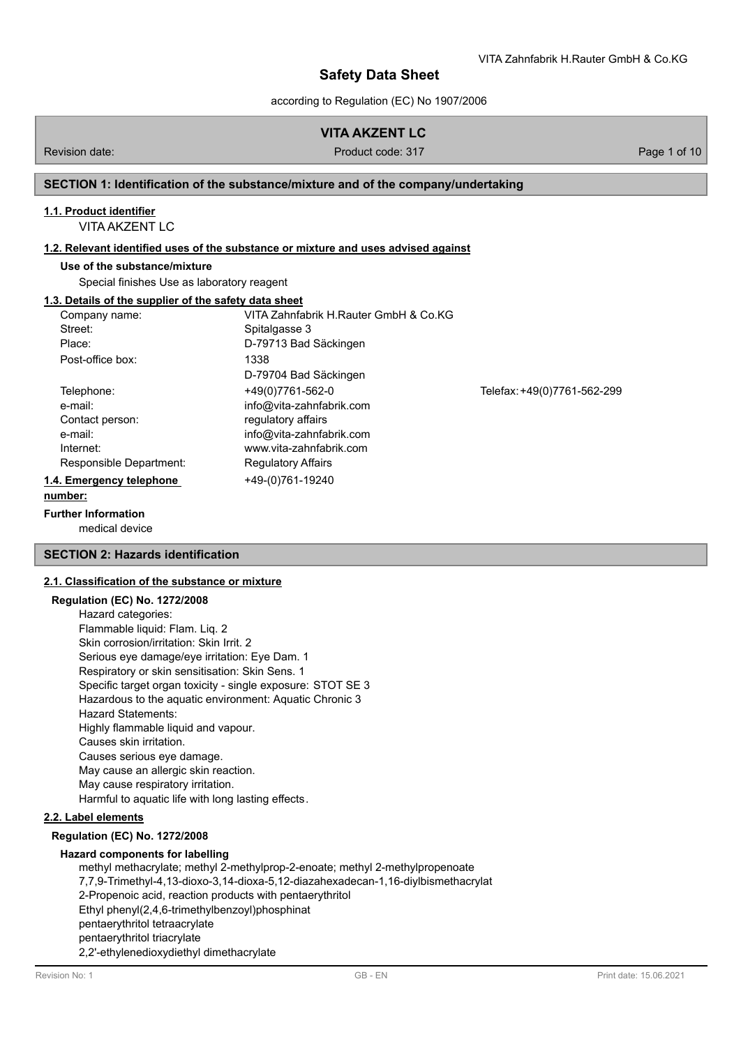according to Regulation (EC) No 1907/2006

# **VITA AKZENT LC**

Revision date: Product code: 317 Page 1 of 10

## **SECTION 1: Identification of the substance/mixture and of the company/undertaking**

## **1.1. Product identifier**

VITA AKZENT LC

## **1.2. Relevant identified uses of the substance or mixture and uses advised against**

## **Use of the substance/mixture**

Special finishes Use as laboratory reagent

## **1.3. Details of the supplier of the safety data sheet**

| Company name:                                                                               | VITA Zahnfabrik H.Rauter GmbH & Co.KG                                                                                                                  |                             |
|---------------------------------------------------------------------------------------------|--------------------------------------------------------------------------------------------------------------------------------------------------------|-----------------------------|
| Street:                                                                                     | Spitalgasse 3                                                                                                                                          |                             |
| Place:                                                                                      | D-79713 Bad Säckingen                                                                                                                                  |                             |
| Post-office box:                                                                            | 1338<br>D-79704 Bad Säckingen                                                                                                                          |                             |
| Telephone:<br>e-mail:<br>Contact person:<br>e-mail:<br>Internet:<br>Responsible Department: | +49(0)7761-562-0<br>info@vita-zahnfabrik.com<br>regulatory affairs<br>info@vita-zahnfabrik.com<br>www.vita-zahnfabrik.com<br><b>Regulatory Affairs</b> | Telefax: +49(0)7761-562-299 |
| 1.4. Emergency telephone<br>number:                                                         | +49-(0)761-19240                                                                                                                                       |                             |

### **Further Information**

medical device

## **SECTION 2: Hazards identification**

## **2.1. Classification of the substance or mixture**

### **Regulation (EC) No. 1272/2008**

Hazard categories: Flammable liquid: Flam. Liq. 2 Skin corrosion/irritation: Skin Irrit. 2 Serious eye damage/eye irritation: Eye Dam. 1 Respiratory or skin sensitisation: Skin Sens. 1 Specific target organ toxicity - single exposure: STOT SE 3 Hazardous to the aquatic environment: Aquatic Chronic 3 Hazard Statements: Highly flammable liquid and vapour. Causes skin irritation. Causes serious eye damage. May cause an allergic skin reaction. May cause respiratory irritation. Harmful to aquatic life with long lasting effects.

### **2.2. Label elements**

**Regulation (EC) No. 1272/2008**

### **Hazard components for labelling**

methyl methacrylate; methyl 2-methylprop-2-enoate; methyl 2-methylpropenoate 7,7,9-Trimethyl-4,13-dioxo-3,14-dioxa-5,12-diazahexadecan-1,16-diylbismethacrylat 2-Propenoic acid, reaction products with pentaerythritol Ethyl phenyl(2,4,6-trimethylbenzoyl)phosphinat pentaerythritol tetraacrylate pentaerythritol triacrylate 2,2'-ethylenedioxydiethyl dimethacrylate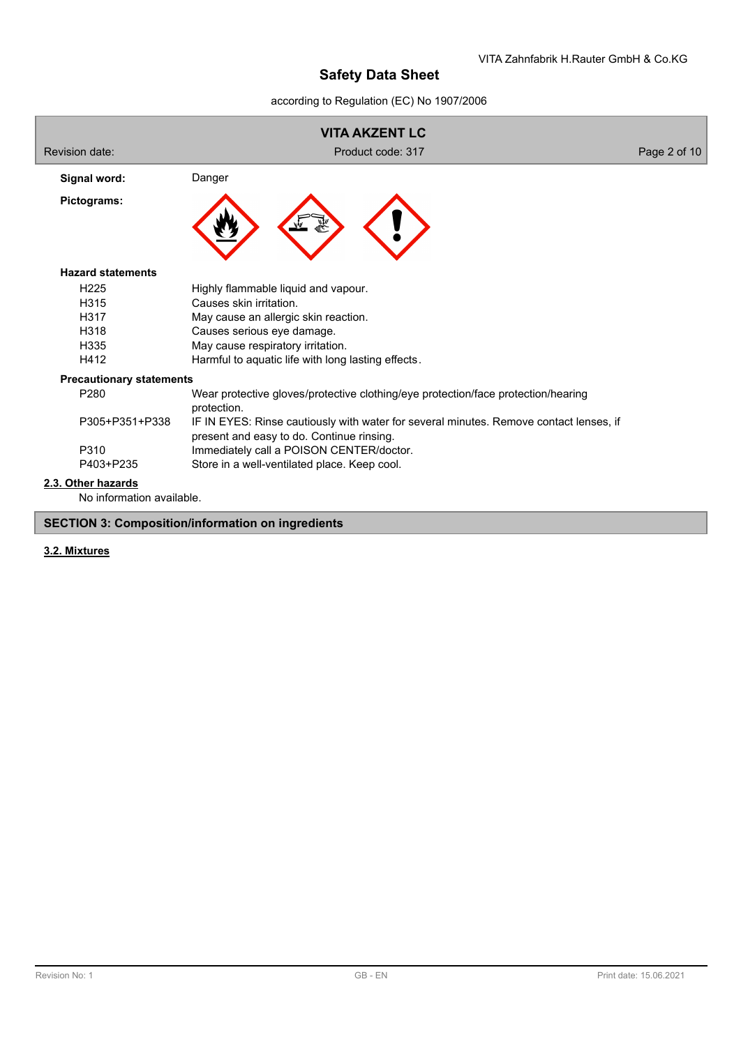according to Regulation (EC) No 1907/2006



## **3.2. Mixtures**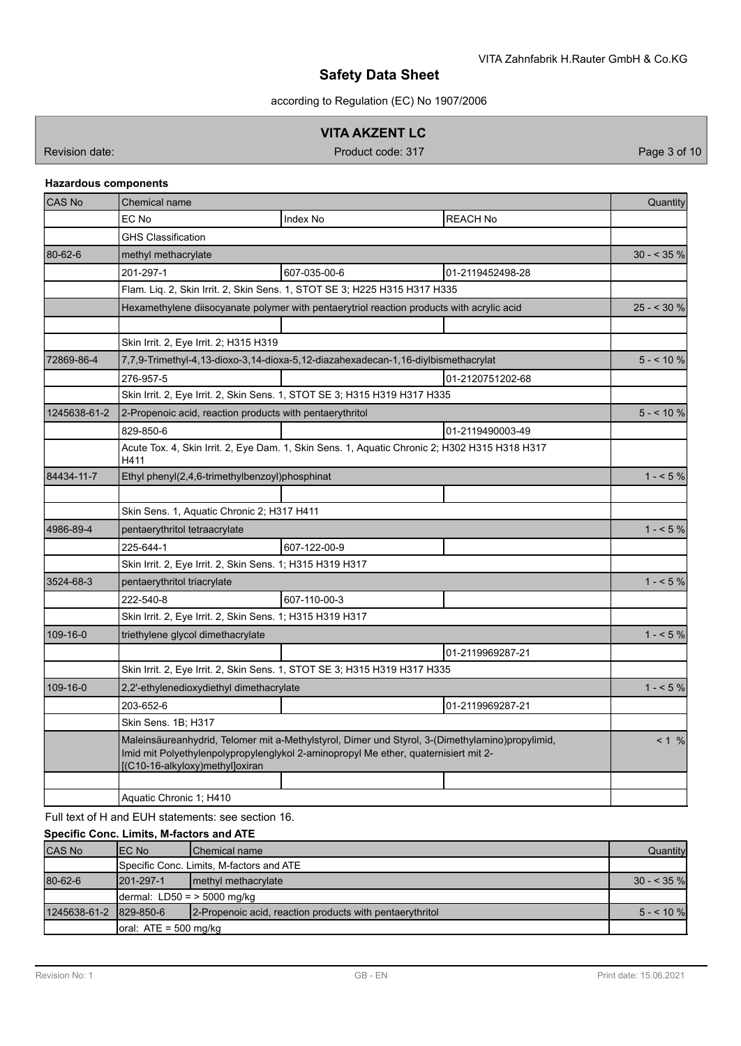according to Regulation (EC) No 1907/2006

## **VITA AKZENT LC**

Revision date: Product code: 317 Product code: 317 Page 3 of 10

## **Hazardous components**

| CAS No       | <b>Chemical name</b>                                                                                                                                                                                                      | Quantity    |
|--------------|---------------------------------------------------------------------------------------------------------------------------------------------------------------------------------------------------------------------------|-------------|
|              | EC No<br><b>REACH No</b><br>Index No                                                                                                                                                                                      |             |
|              | <b>GHS Classification</b>                                                                                                                                                                                                 |             |
| 80-62-6      | methyl methacrylate                                                                                                                                                                                                       | $30 - 35\%$ |
|              | 201-297-1<br>607-035-00-6<br>01-2119452498-28                                                                                                                                                                             |             |
|              | Flam. Lig. 2, Skin Irrit. 2, Skin Sens. 1, STOT SE 3; H225 H315 H317 H335                                                                                                                                                 |             |
|              | Hexamethylene diisocyanate polymer with pentaerytriol reaction products with acrylic acid                                                                                                                                 | $25 - 30%$  |
|              |                                                                                                                                                                                                                           |             |
|              | Skin Irrit. 2, Eye Irrit. 2; H315 H319                                                                                                                                                                                    |             |
| 72869-86-4   | 7,7,9-Trimethyl-4,13-dioxo-3,14-dioxa-5,12-diazahexadecan-1,16-diylbismethacrylat                                                                                                                                         | $5 - 10 \%$ |
|              | 276-957-5<br>01-2120751202-68                                                                                                                                                                                             |             |
|              | Skin Irrit. 2, Eye Irrit. 2, Skin Sens. 1, STOT SE 3; H315 H319 H317 H335                                                                                                                                                 |             |
| 1245638-61-2 | 2-Propenoic acid, reaction products with pentaerythritol                                                                                                                                                                  | $5 - 10%$   |
|              | 01-2119490003-49<br>829-850-6                                                                                                                                                                                             |             |
|              | Acute Tox. 4, Skin Irrit. 2, Eye Dam. 1, Skin Sens. 1, Aquatic Chronic 2; H302 H315 H318 H317<br>H411                                                                                                                     |             |
| 84434-11-7   | Ethyl phenyl(2,4,6-trimethylbenzoyl)phosphinat                                                                                                                                                                            | $1 - 5\%$   |
|              |                                                                                                                                                                                                                           |             |
|              | Skin Sens. 1, Aquatic Chronic 2; H317 H411                                                                                                                                                                                |             |
| 4986-89-4    | pentaerythritol tetraacrylate                                                                                                                                                                                             | $1 - 5\%$   |
|              | 225-644-1<br>607-122-00-9                                                                                                                                                                                                 |             |
|              | Skin Irrit. 2, Eye Irrit. 2, Skin Sens. 1; H315 H319 H317                                                                                                                                                                 |             |
| 3524-68-3    | pentaerythritol triacrylate                                                                                                                                                                                               | $1 - 5\%$   |
|              | 607-110-00-3<br>222-540-8                                                                                                                                                                                                 |             |
|              | Skin Irrit. 2, Eye Irrit. 2, Skin Sens. 1; H315 H319 H317                                                                                                                                                                 |             |
| 109-16-0     | triethylene glycol dimethacrylate                                                                                                                                                                                         | $1 - 5\%$   |
|              | 01-2119969287-21                                                                                                                                                                                                          |             |
|              | Skin Irrit. 2, Eye Irrit. 2, Skin Sens. 1, STOT SE 3; H315 H319 H317 H335                                                                                                                                                 |             |
| 109-16-0     | 2,2'-ethylenedioxydiethyl dimethacrylate                                                                                                                                                                                  | $1 - 5\%$   |
|              | 203-652-6<br>01-2119969287-21                                                                                                                                                                                             |             |
|              | Skin Sens. 1B; H317                                                                                                                                                                                                       |             |
|              | Maleinsäureanhydrid, Telomer mit a-Methylstyrol, Dimer und Styrol, 3-(Dimethylamino)propylimid,<br>Imid mit Polyethylenpolypropylenglykol 2-aminopropyl Me ether, quaternisiert mit 2-<br>[(C10-16-alkyloxy)methyl]oxiran | < 1 %       |
|              |                                                                                                                                                                                                                           |             |
|              | Aquatic Chronic 1; H410                                                                                                                                                                                                   |             |

Full text of H and EUH statements: see section 16.

## **Specific Conc. Limits, M-factors and ATE**

| <b>CAS No</b>          | IEC No                                               | <b>IChemical name</b>                                    | Quantity     |
|------------------------|------------------------------------------------------|----------------------------------------------------------|--------------|
|                        |                                                      | Specific Conc. Limits, M-factors and ATE                 |              |
| 80-62-6                | $1201 - 297 - 1$                                     | methyl methacrylate                                      | $30 - 535$ % |
|                        | $\lambda$ dermal: LD50 = > 5000 mg/kg                |                                                          |              |
| 1245638-61-2 829-850-6 |                                                      | 2-Propenoic acid, reaction products with pentaerythritol | $5 - 10\%$   |
|                        | $\lceil \text{oral: ATE} \rceil = 500 \text{ mg/kg}$ |                                                          |              |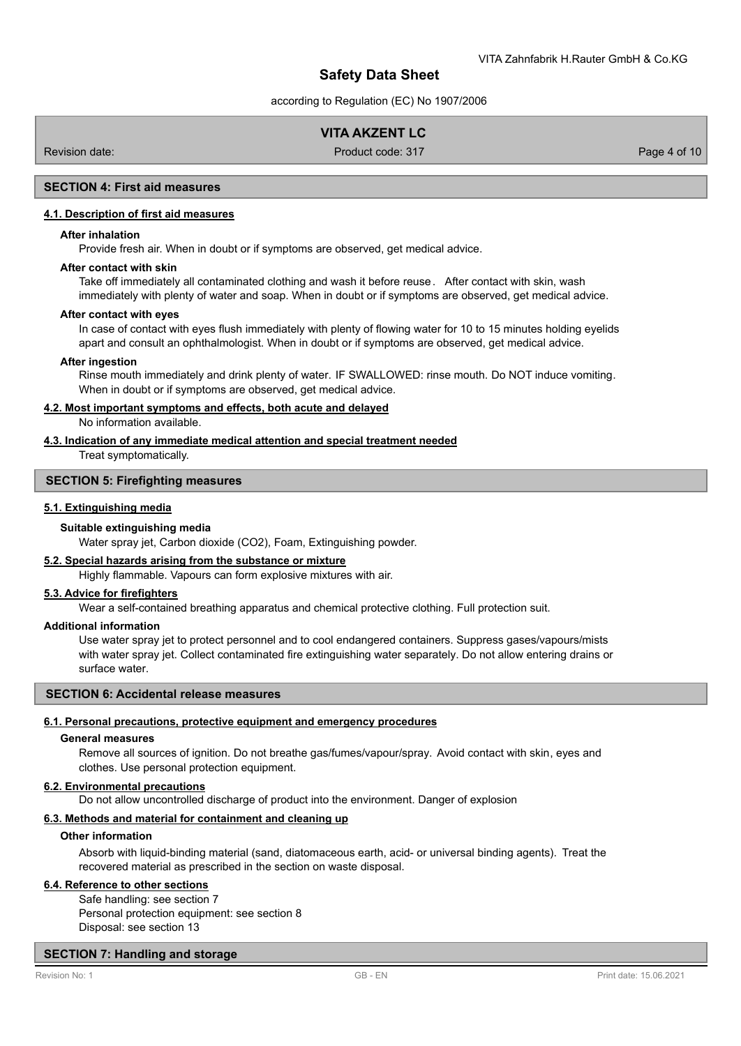according to Regulation (EC) No 1907/2006

## **VITA AKZENT LC**

Revision date: Product code: 317 Page 4 of 10

## **SECTION 4: First aid measures**

#### **4.1. Description of first aid measures**

### **After inhalation**

Provide fresh air. When in doubt or if symptoms are observed, get medical advice.

#### **After contact with skin**

Take off immediately all contaminated clothing and wash it before reuse. After contact with skin, wash immediately with plenty of water and soap. When in doubt or if symptoms are observed, get medical advice.

#### **After contact with eyes**

In case of contact with eyes flush immediately with plenty of flowing water for 10 to 15 minutes holding eyelids apart and consult an ophthalmologist. When in doubt or if symptoms are observed, get medical advice.

#### **After ingestion**

Rinse mouth immediately and drink plenty of water. IF SWALLOWED: rinse mouth. Do NOT induce vomiting. When in doubt or if symptoms are observed, get medical advice.

## **4.2. Most important symptoms and effects, both acute and delayed**

No information available.

**4.3. Indication of any immediate medical attention and special treatment needed**

Treat symptomatically.

## **SECTION 5: Firefighting measures**

#### **5.1. Extinguishing media**

#### **Suitable extinguishing media**

Water spray jet, Carbon dioxide (CO2), Foam, Extinguishing powder.

## **5.2. Special hazards arising from the substance or mixture**

Highly flammable. Vapours can form explosive mixtures with air.

#### **5.3. Advice for firefighters**

Wear a self-contained breathing apparatus and chemical protective clothing. Full protection suit.

#### **Additional information**

Use water spray jet to protect personnel and to cool endangered containers. Suppress gases/vapours/mists with water spray jet. Collect contaminated fire extinguishing water separately. Do not allow entering drains or surface water.

## **SECTION 6: Accidental release measures**

#### **6.1. Personal precautions, protective equipment and emergency procedures**

#### **General measures**

Remove all sources of ignition. Do not breathe gas/fumes/vapour/spray. Avoid contact with skin, eyes and clothes. Use personal protection equipment.

#### **6.2. Environmental precautions**

Do not allow uncontrolled discharge of product into the environment. Danger of explosion

### **6.3. Methods and material for containment and cleaning up**

#### **Other information**

Absorb with liquid-binding material (sand, diatomaceous earth, acid- or universal binding agents). Treat the recovered material as prescribed in the section on waste disposal.

#### **6.4. Reference to other sections**

Safe handling: see section 7 Personal protection equipment: see section 8 Disposal: see section 13

## **SECTION 7: Handling and storage**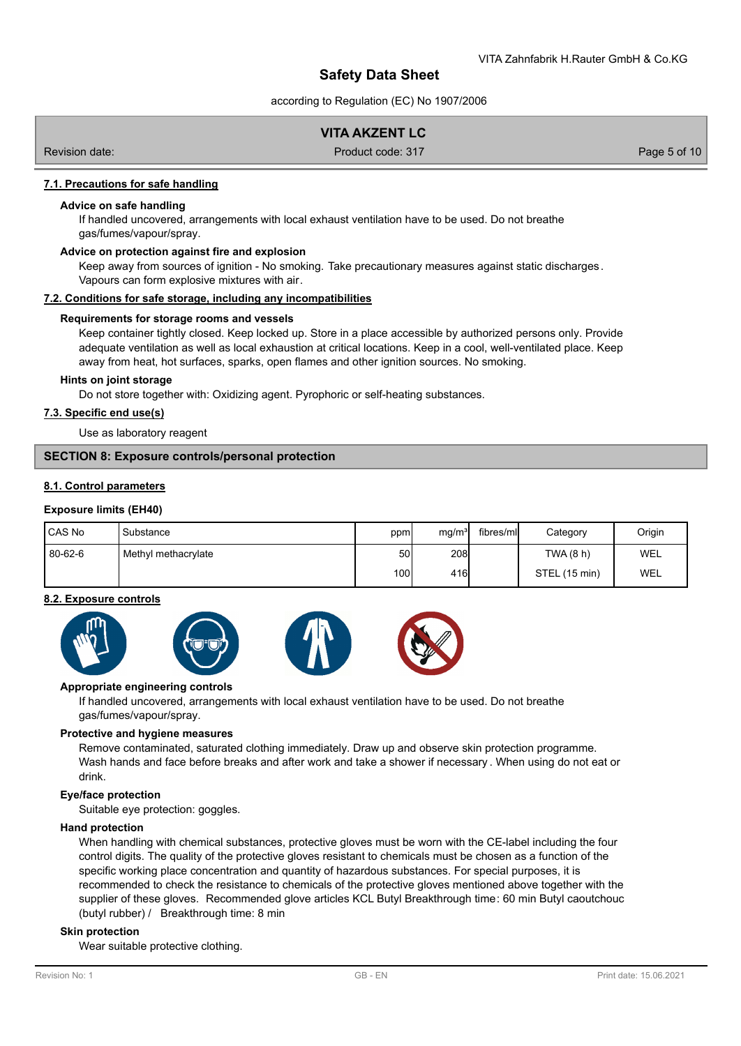according to Regulation (EC) No 1907/2006

## **VITA AKZENT LC**

Revision date: Product code: 317 Page 5 of 10

### **7.1. Precautions for safe handling**

#### **Advice on safe handling**

If handled uncovered, arrangements with local exhaust ventilation have to be used. Do not breathe gas/fumes/vapour/spray.

### **Advice on protection against fire and explosion**

Keep away from sources of ignition - No smoking. Take precautionary measures against static discharges. Vapours can form explosive mixtures with air.

#### **7.2. Conditions for safe storage, including any incompatibilities**

#### **Requirements for storage rooms and vessels**

Keep container tightly closed. Keep locked up. Store in a place accessible by authorized persons only. Provide adequate ventilation as well as local exhaustion at critical locations. Keep in a cool, well-ventilated place. Keep away from heat, hot surfaces, sparks, open flames and other ignition sources. No smoking.

### **Hints on joint storage**

Do not store together with: Oxidizing agent. Pyrophoric or self-heating substances.

## **7.3. Specific end use(s)**

Use as laboratory reagent

#### **SECTION 8: Exposure controls/personal protection**

#### **8.1. Control parameters**

#### **Exposure limits (EH40)**

| l CAS No | Substance            | ppm  | mg/m <sup>3</sup> | fibres/ml | Category      | Origin     |
|----------|----------------------|------|-------------------|-----------|---------------|------------|
| 80-62-6  | Methyl methacrylate, | 50I  | 208               |           | TWA (8 h)     | <b>WEL</b> |
|          |                      | 100I | 416l              |           | STEL (15 min) | <b>WEL</b> |

#### **8.2. Exposure controls**



#### **Appropriate engineering controls**

If handled uncovered, arrangements with local exhaust ventilation have to be used. Do not breathe gas/fumes/vapour/spray.

#### **Protective and hygiene measures**

Remove contaminated, saturated clothing immediately. Draw up and observe skin protection programme. Wash hands and face before breaks and after work and take a shower if necessary . When using do not eat or drink.

#### **Eye/face protection**

Suitable eye protection: goggles.

### **Hand protection**

When handling with chemical substances, protective gloves must be worn with the CE-label including the four control digits. The quality of the protective gloves resistant to chemicals must be chosen as a function of the specific working place concentration and quantity of hazardous substances. For special purposes, it is recommended to check the resistance to chemicals of the protective gloves mentioned above together with the supplier of these gloves. Recommended glove articles KCL Butyl Breakthrough time: 60 min Butyl caoutchouc (butyl rubber) / Breakthrough time: 8 min

#### **Skin protection**

Wear suitable protective clothing.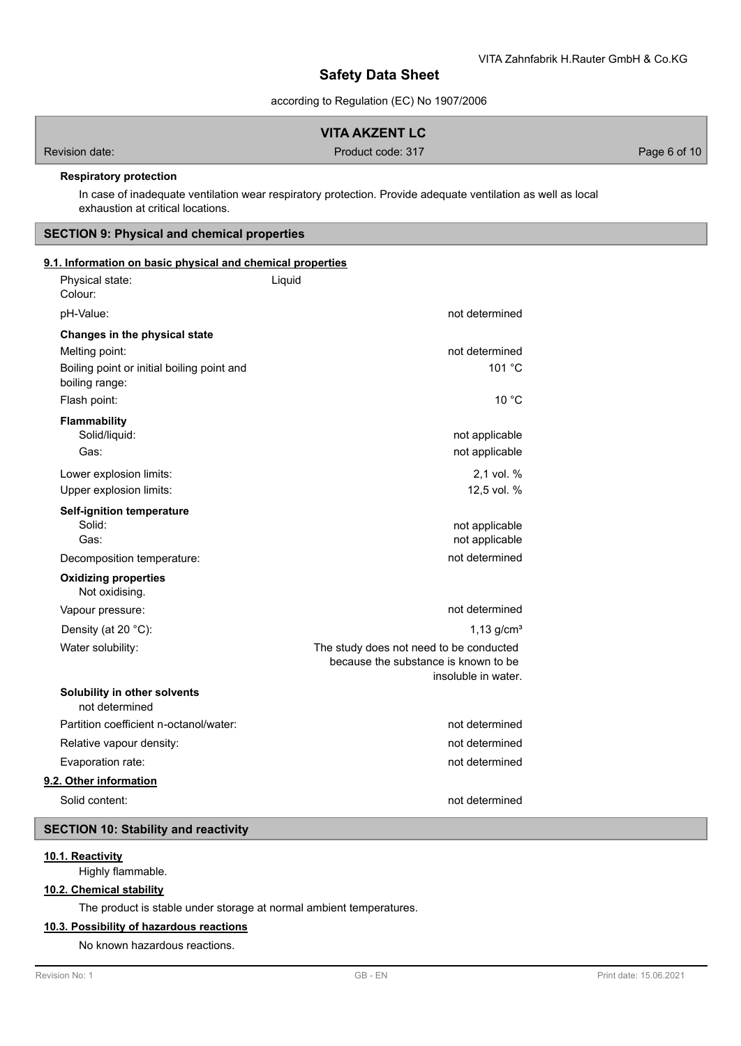according to Regulation (EC) No 1907/2006

## **VITA AKZENT LC**

Revision date: Product code: 317 Product code: 317

## **Respiratory protection**

In case of inadequate ventilation wear respiratory protection. Provide adequate ventilation as well as local exhaustion at critical locations.

## **SECTION 9: Physical and chemical properties**

## **9.1. Information on basic physical and chemical properties**

| Physical state:<br>Colour:                                                                    | Liquid                                                                                                 |
|-----------------------------------------------------------------------------------------------|--------------------------------------------------------------------------------------------------------|
| pH-Value:                                                                                     | not determined                                                                                         |
| Changes in the physical state<br>Melting point:<br>Boiling point or initial boiling point and | not determined<br>101 °C                                                                               |
| boiling range:                                                                                |                                                                                                        |
| Flash point:                                                                                  | 10 °C                                                                                                  |
| <b>Flammability</b><br>Solid/liquid:<br>Gas:                                                  | not applicable<br>not applicable                                                                       |
| Lower explosion limits:<br>Upper explosion limits:                                            | 2,1 vol. %<br>12,5 vol. %                                                                              |
| <b>Self-ignition temperature</b><br>Solid:<br>Gas:                                            | not applicable<br>not applicable                                                                       |
| Decomposition temperature:                                                                    | not determined                                                                                         |
| <b>Oxidizing properties</b><br>Not oxidising.                                                 |                                                                                                        |
| Vapour pressure:                                                                              | not determined                                                                                         |
| Density (at 20 $°C$ ):                                                                        | 1,13 $q/cm3$                                                                                           |
| Water solubility:                                                                             | The study does not need to be conducted<br>because the substance is known to be<br>insoluble in water. |
| Solubility in other solvents<br>not determined                                                |                                                                                                        |
| Partition coefficient n-octanol/water:                                                        | not determined                                                                                         |
| Relative vapour density:                                                                      | not determined                                                                                         |
| Evaporation rate:                                                                             | not determined                                                                                         |
| 9.2. Other information                                                                        |                                                                                                        |
| Solid content:                                                                                | not determined                                                                                         |

## **SECTION 10: Stability and reactivity**

## **10.1. Reactivity**

Highly flammable.

# **10.2. Chemical stability**

The product is stable under storage at normal ambient temperatures.

### **10.3. Possibility of hazardous reactions**

No known hazardous reactions.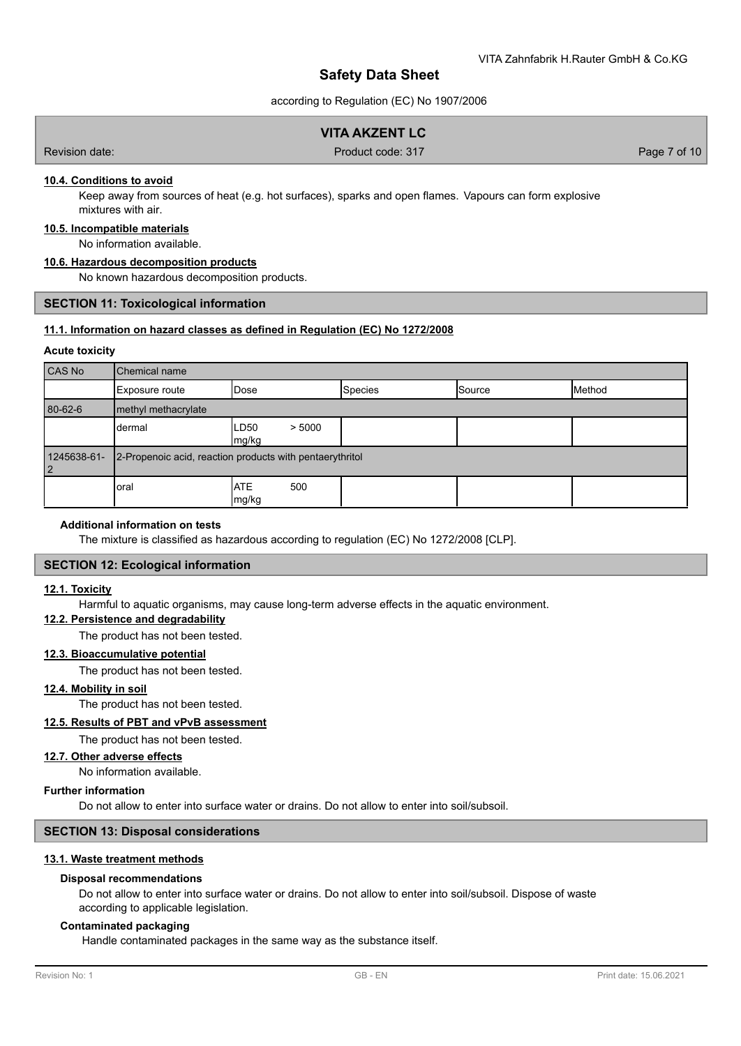according to Regulation (EC) No 1907/2006

## **VITA AKZENT LC**

Revision date: Product code: 317 Page 7 of 10

## **10.4. Conditions to avoid**

Keep away from sources of heat (e.g. hot surfaces), sparks and open flames. Vapours can form explosive mixtures with air.

## **10.5. Incompatible materials**

No information available.

## **10.6. Hazardous decomposition products**

No known hazardous decomposition products.

### **SECTION 11: Toxicological information**

## **11.1. Information on hazard classes as defined in Regulation (EC) No 1272/2008**

### **Acute toxicity**

| CAS No            | Chemical name                                            |                            |                |        |        |
|-------------------|----------------------------------------------------------|----------------------------|----------------|--------|--------|
|                   | Exposure route                                           | IDose                      | <b>Species</b> | Source | Method |
| 80-62-6           | methyl methacrylate                                      |                            |                |        |        |
|                   | dermal                                                   | > 5000<br>LD50<br>mg/kg    |                |        |        |
| 1245638-61-<br> 2 | 2-Propenoic acid, reaction products with pentaerythritol |                            |                |        |        |
|                   | oral                                                     | <b>ATE</b><br>500<br>mg/kg |                |        |        |

#### **Additional information on tests**

The mixture is classified as hazardous according to regulation (EC) No 1272/2008 [CLP].

### **SECTION 12: Ecological information**

#### **12.1. Toxicity**

Harmful to aquatic organisms, may cause long-term adverse effects in the aquatic environment.

#### **12.2. Persistence and degradability**

The product has not been tested.

#### **12.3. Bioaccumulative potential**

The product has not been tested.

# **12.4. Mobility in soil**

The product has not been tested.

#### **12.5. Results of PBT and vPvB assessment**

The product has not been tested.

#### **12.7. Other adverse effects**

No information available.

#### **Further information**

Do not allow to enter into surface water or drains. Do not allow to enter into soil/subsoil.

## **SECTION 13: Disposal considerations**

#### **13.1. Waste treatment methods**

### **Disposal recommendations**

Do not allow to enter into surface water or drains. Do not allow to enter into soil/subsoil. Dispose of waste according to applicable legislation.

## **Contaminated packaging**

Handle contaminated packages in the same way as the substance itself.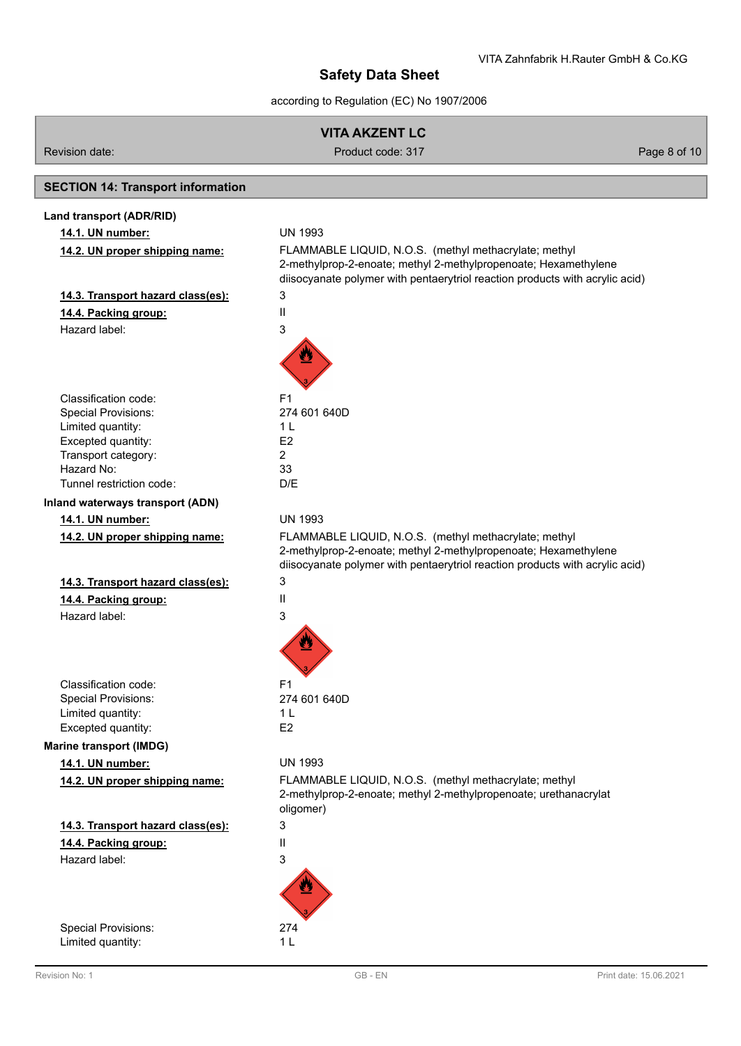according to Regulation (EC) No 1907/2006

| VITA AKZENT LC |  |
|----------------|--|
|----------------|--|

Revision date: Product code: 317 Product code: 317 Page 8 of 10

# **SECTION 14: Transport information**

| Land transport (ADR/RID)               |                                                                                                                                                                                                          |
|----------------------------------------|----------------------------------------------------------------------------------------------------------------------------------------------------------------------------------------------------------|
| 14.1. UN number:                       | <b>UN 1993</b>                                                                                                                                                                                           |
| 14.2. UN proper shipping name:         | FLAMMABLE LIQUID, N.O.S. (methyl methacrylate; methyl<br>2-methylprop-2-enoate; methyl 2-methylpropenoate; Hexamethylene<br>diisocyanate polymer with pentaerytriol reaction products with acrylic acid) |
| 14.3. Transport hazard class(es):      | 3                                                                                                                                                                                                        |
| 14.4. Packing group:                   | Ш                                                                                                                                                                                                        |
| Hazard label:                          | 3                                                                                                                                                                                                        |
|                                        |                                                                                                                                                                                                          |
| Classification code:                   | F1                                                                                                                                                                                                       |
| <b>Special Provisions:</b>             | 274 601 640D                                                                                                                                                                                             |
| Limited quantity:                      | 1 L                                                                                                                                                                                                      |
| Excepted quantity:                     | E <sub>2</sub>                                                                                                                                                                                           |
| Transport category:                    | $\overline{2}$                                                                                                                                                                                           |
| Hazard No:<br>Tunnel restriction code: | 33                                                                                                                                                                                                       |
|                                        | D/E                                                                                                                                                                                                      |
| Inland waterways transport (ADN)       |                                                                                                                                                                                                          |
| 14.1. UN number:                       | <b>UN 1993</b>                                                                                                                                                                                           |
| 14.2. UN proper shipping name:         | FLAMMABLE LIQUID, N.O.S. (methyl methacrylate; methyl<br>2-methylprop-2-enoate; methyl 2-methylpropenoate; Hexamethylene<br>diisocyanate polymer with pentaerytriol reaction products with acrylic acid) |
| 14.3. Transport hazard class(es):      | 3                                                                                                                                                                                                        |
| 14.4. Packing group:                   | $\mathbf{I}$                                                                                                                                                                                             |
| Hazard label:                          | 3                                                                                                                                                                                                        |
|                                        |                                                                                                                                                                                                          |
| Classification code:                   | F <sub>1</sub>                                                                                                                                                                                           |
| <b>Special Provisions:</b>             | 274 601 640D                                                                                                                                                                                             |
| Limited quantity:                      | 1 <sub>L</sub>                                                                                                                                                                                           |
| Excepted quantity:                     | E <sub>2</sub>                                                                                                                                                                                           |
| <b>Marine transport (IMDG)</b>         |                                                                                                                                                                                                          |
| 14.1. UN number:                       | <b>UN 1993</b>                                                                                                                                                                                           |
| 14.2. UN proper shipping name:         | FLAMMABLE LIQUID, N.O.S. (methyl methacrylate; methyl<br>2-methylprop-2-enoate; methyl 2-methylpropenoate; urethanacrylat<br>oligomer)                                                                   |
| 14.3. Transport hazard class(es):      | 3                                                                                                                                                                                                        |
| 14.4. Packing group:                   | Ш                                                                                                                                                                                                        |
| Hazard label:                          | 3                                                                                                                                                                                                        |
|                                        |                                                                                                                                                                                                          |
| <b>Special Provisions:</b>             | 274                                                                                                                                                                                                      |
| Limited quantity:                      | 1 <sub>L</sub>                                                                                                                                                                                           |
|                                        |                                                                                                                                                                                                          |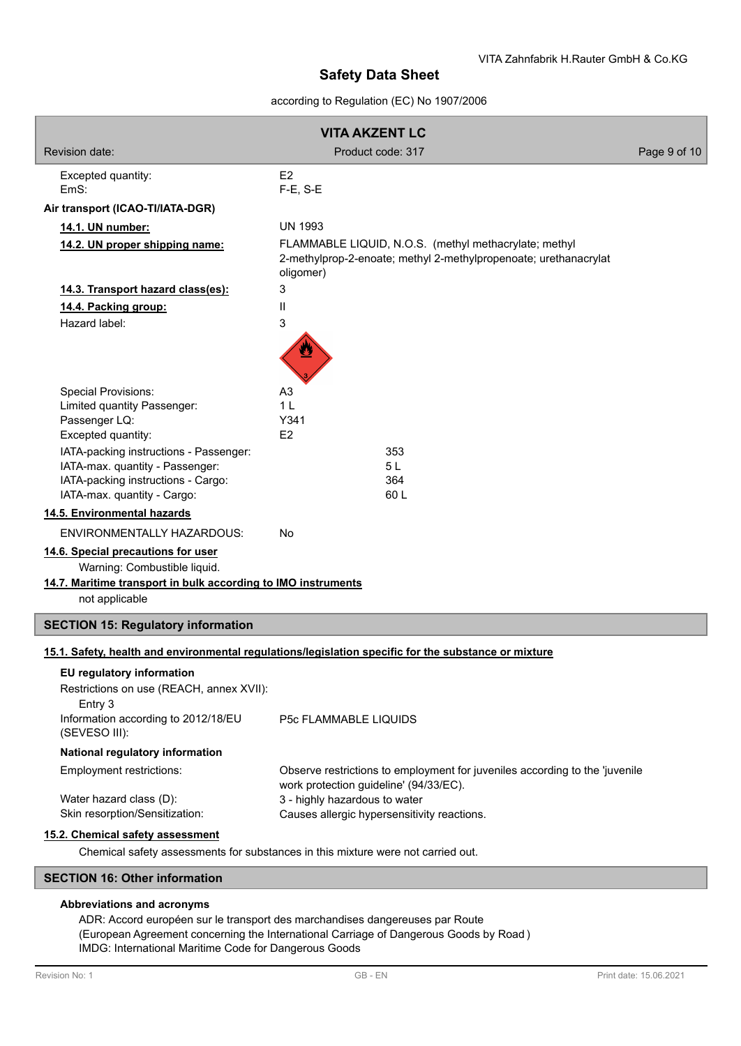## according to Regulation (EC) No 1907/2006

|                                                                                                                                                       | <b>VITA AKZENT LC</b>                                                                                                                  |              |
|-------------------------------------------------------------------------------------------------------------------------------------------------------|----------------------------------------------------------------------------------------------------------------------------------------|--------------|
| Revision date:                                                                                                                                        | Product code: 317                                                                                                                      | Page 9 of 10 |
| Excepted quantity:<br>EmS:                                                                                                                            | E <sub>2</sub><br>$F-E$ , S-E                                                                                                          |              |
| Air transport (ICAO-TI/IATA-DGR)                                                                                                                      |                                                                                                                                        |              |
| 14.1. UN number:                                                                                                                                      | <b>UN 1993</b>                                                                                                                         |              |
| 14.2. UN proper shipping name:                                                                                                                        | FLAMMABLE LIQUID, N.O.S. (methyl methacrylate; methyl<br>2-methylprop-2-enoate; methyl 2-methylpropenoate; urethanacrylat<br>oligomer) |              |
| 14.3. Transport hazard class(es):                                                                                                                     | 3                                                                                                                                      |              |
| 14.4. Packing group:                                                                                                                                  | $\mathbf{I}$                                                                                                                           |              |
| Hazard label:                                                                                                                                         | 3                                                                                                                                      |              |
| <b>Special Provisions:</b>                                                                                                                            | A <sub>3</sub>                                                                                                                         |              |
| Limited quantity Passenger:<br>Passenger LQ:                                                                                                          | 1 <sub>L</sub><br>Y341                                                                                                                 |              |
| Excepted quantity:                                                                                                                                    | E <sub>2</sub>                                                                                                                         |              |
| IATA-packing instructions - Passenger:                                                                                                                | 353                                                                                                                                    |              |
| IATA-max. quantity - Passenger:                                                                                                                       | 5L                                                                                                                                     |              |
| IATA-packing instructions - Cargo:                                                                                                                    | 364<br>60L                                                                                                                             |              |
| IATA-max. quantity - Cargo:<br>14.5. Environmental hazards                                                                                            |                                                                                                                                        |              |
| ENVIRONMENTALLY HAZARDOUS:                                                                                                                            | <b>No</b>                                                                                                                              |              |
| 14.6. Special precautions for user<br>Warning: Combustible liquid.<br>14.7. Maritime transport in bulk according to IMO instruments<br>not applicable |                                                                                                                                        |              |
| <b>SECTION 15: Regulatory information</b>                                                                                                             |                                                                                                                                        |              |
|                                                                                                                                                       | 15.1. Safety, health and environmental regulations/legislation specific for the substance or mixture                                   |              |
| EU regulatory information<br>Restrictions on use (REACH, annex XVII):<br>Entry 3<br>Information according to 2012/18/EU<br>(SEVESO III):              | P5c FLAMMABLE LIQUIDS                                                                                                                  |              |
| National regulatory information                                                                                                                       |                                                                                                                                        |              |
| Employment restrictions:                                                                                                                              | Observe restrictions to employment for juveniles according to the 'juvenile                                                            |              |
| Water hazard class (D):<br>Skin resorption/Sensitization:                                                                                             | work protection guideline' (94/33/EC).<br>3 - highly hazardous to water<br>Causes allergic hypersensitivity reactions.                 |              |
| 15.2. Chemical safety assessment<br><b>CECTION 46: Other information</b>                                                                              | Chemical safety assessments for substances in this mixture were not carried out.                                                       |              |

## **SECTION 16: Other information**

## **Abbreviations and acronyms**

ADR: Accord européen sur le transport des marchandises dangereuses par Route (European Agreement concerning the International Carriage of Dangerous Goods by Road ) IMDG: International Maritime Code for Dangerous Goods